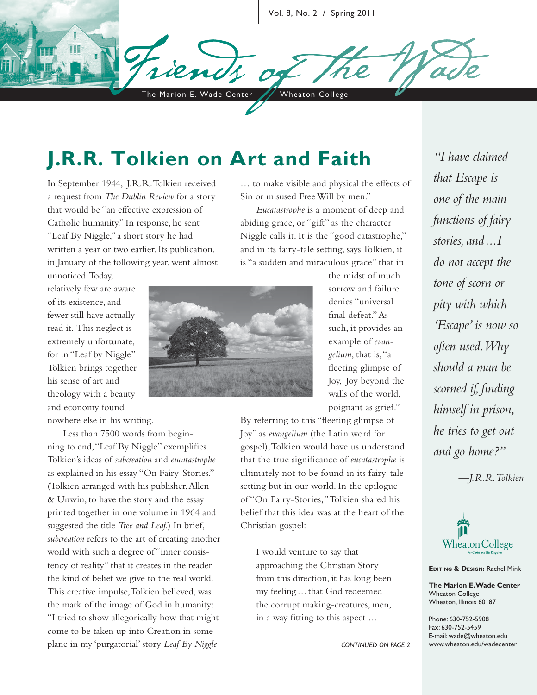Vol. 8, No. 2 / Spring 2011

The Marion E. Wade Center / Wheaton College

# **J.R.R. Tolkien on Art and Faith**

In September 1944, J.R.R. Tolkien received a request from *The Dublin Review* for a story that would be "an effective expression of Catholic humanity." In response, he sent "Leaf By Niggle," a short story he had written a year or two earlier. Its publication, in January of the following year, went almost

relatively few are aware of its existence, and fewer still have actually read it. This neglect is extremely unfortunate, for in "Leaf by Niggle" Tolkien brings together his sense of art and theology with a beauty and economy found

unnoticed. Today,

nowhere else in his writing.

Less than 7500 words from beginning to end, "Leaf By Niggle" exemplifies Tolkien's ideas of *subcreation* and *eucatastrophe* as explained in his essay "On Fairy-Stories." (Tolkien arranged with his publisher, Allen & Unwin, to have the story and the essay printed together in one volume in 1964 and suggested the title *Tree and Leaf.*) In brief, *subcreation* refers to the art of creating another world with such a degree of "inner consistency of reality" that it creates in the reader the kind of belief we give to the real world. This creative impulse, Tolkien believed, was the mark of the image of God in humanity: "I tried to show allegorically how that might come to be taken up into Creation in some plane in my 'purgatorial' story *Leaf By Niggle*

… to make visible and physical the effects of Sin or misused Free Will by men."

*Eucatastrophe* is a moment of deep and abiding grace, or "gift" as the character Niggle calls it. It is the "good catastrophe," and in its fairy-tale setting, says Tolkien, it is "a sudden and miraculous grace" that in



the midst of much sorrow and failure denies "universal final defeat." As such, it provides an example of *evangelium*, that is, "a fleeting glimpse of Joy, Joy beyond the walls of the world, poignant as grief."

By referring to this "fleeting glimpse of Joy" as *evangelium* (the Latin word for gospel), Tolkien would have us understand that the true significance of *eucatastrophe* is ultimately not to be found in its fairy-tale setting but in our world. In the epilogue of "On Fairy-Stories*,*" Tolkien shared his belief that this idea was at the heart of the Christian gospel:

I would venture to say that approaching the Christian Story from this direction, it has long been my feeling … that God redeemed the corrupt making-creatures, men, in a way fitting to this aspect ...

*CONTINUED ON PAGE 2*

*"I have claimed that Escape is one of the main functions of fairystories, and ... I do not accept the tone of scorn or pity with which 'Escape' is now so often used. Why should a man be scorned if, finding himself in prison, he tries to get out and go home?"*

*—J.R.R. Tolkien*



**EDITING & DESIGN:** Rachel Mink

**The Marion E. Wade Center** Wheaton College Wheaton, Illinois 60187

Phone: 630-752-5908 Fax: 630-752-5459 E-mail: wade@wheaton.edu www.wheaton.edu/wadecenter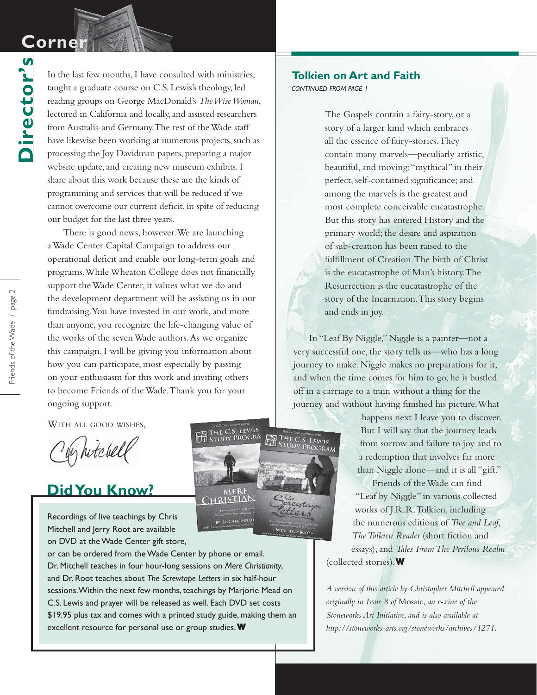## **Corne**

**Director's**

Director's

In the last few months, I have consulted with ministries, taught a graduate course on C.S. Lewis's theology, led reading groups on George MacDonald's *The Wise Woman*, lectured in California and locally, and assisted researchers from Australia and Germany. The rest of the Wade staff have likewise been working at numerous projects, such as processing the Joy Davidman papers, preparing a major website update, and creating new museum exhibits. I share about this work because these are the kinds of programming and services that will be reduced if we cannot overcome our current deficit, in spite of reducing our budget for the last three years.

There is good news, however. We are launching a Wade Center Capital Campaign to address our operational deficit and enable our long-term goals and programs. While Wheaton College does not financially support the Wade Center, it values what we do and the development department will be assisting us in our fundraising. You have invested in our work, and more than anyone, you recognize the life-changing value of the works of the seven Wade authors. As we organize this campaign, I will be giving you information about how you can participate, most especially by passing on your enthusiasm for this work and inviting others to become Friends of the Wade. Thank you for your ongoing support.

WITH ALL GOOD WISHES,

by hitchell

### **Did You Know?**

Recordings of live teachings by Chris Mitchell and Jerry Root are available on DVD at the Wade Center gift store,

or can be ordered from the Wade Center by phone or email. Dr. Mitchell teaches in four hour-long sessions on *Mere Christianity*, and Dr. Root teaches about *The Screwtape Letters* in six half-hour sessions. Within the next few months, teachings by Marjorie Mead on C.S. Lewis and prayer will be released as well. Each DVD set costs \$19.95 plus tax and comes with a printed study guide, making them an excellent resource for personal use or group studies.**W**



#### *CONTINUED FROM PAGE 1* **Tolkien on Art and Faith**

The Gospels contain a fairy-story, or a story of a larger kind which embraces all the essence of fairy-stories. They contain many marvels—peculiarly artistic, beautiful, and moving: "mythical" in their perfect, self-contained significance; and among the marvels is the greatest and most complete conceivable eucatastrophe. But this story has entered History and the primary world; the desire and aspiration of sub-creation has been raised to the fulfillment of Creation. The birth of Christ is the eucatastrophe of Man's history. The Resurrection is the eucatastrophe of the story of the Incarnation. This story begins and ends in joy.

In "Leaf By Niggle," Niggle is a painter—not a very successful one, the story tells us—who has a long journey to make. Niggle makes no preparations for it, and when the time comes for him to go, he is bustled off in a carriage to a train without a thing for the journey and without having finished his picture. What

> happens next I leave you to discover. But I will say that the journey leads from sorrow and failure to joy and to a redemption that involves far more than Niggle alone—and it is all "gift."

Friends of the Wade can find "Leaf by Niggle" in various collected works of J.R.R. Tolkien, including the numerous editions of *Tree and Leaf*, **The Tolkien Reader** (short fiction and essays), and *Tales From The Perilous Realm* (collected stories). **W**

*A version of this article by Christopher Mitchell appeared originally in Issue 8 of* Mosaic*, an e-zine of the Stoneworks Art Initiative, and is also available at http://stoneworks-arts.org/stoneworks/archives/1271.*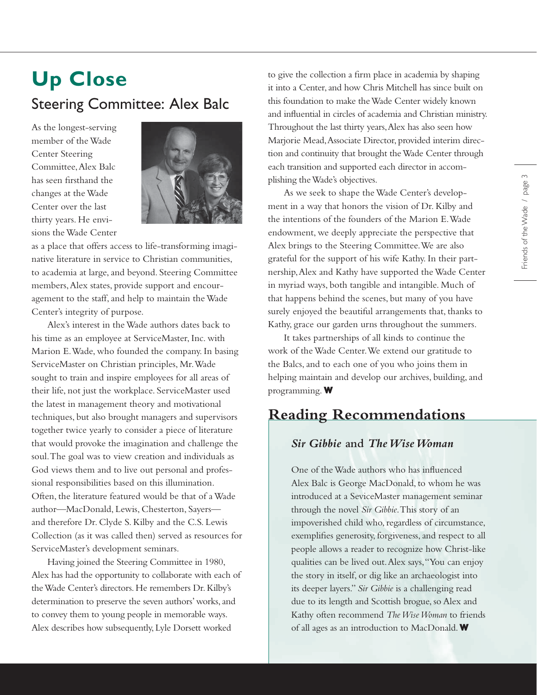# **Up Close** Steering Committee: Alex Balc

As the longest-serving member of the Wade Center Steering Committee, Alex Balc has seen firsthand the changes at the Wade Center over the last thirty years. He envisions the Wade Center



as a place that offers access to life-transforming imaginative literature in service to Christian communities, to academia at large, and beyond. Steering Committee members, Alex states, provide support and encouragement to the staff, and help to maintain the Wade Center's integrity of purpose.

Alex's interest in the Wade authors dates back to his time as an employee at ServiceMaster, Inc. with Marion E. Wade, who founded the company. In basing ServiceMaster on Christian principles, Mr. Wade sought to train and inspire employees for all areas of their life, not just the workplace. ServiceMaster used the latest in management theory and motivational techniques, but also brought managers and supervisors together twice yearly to consider a piece of literature that would provoke the imagination and challenge the soul. The goal was to view creation and individuals as God views them and to live out personal and professional responsibilities based on this illumination. Often, the literature featured would be that of a Wade author—MacDonald, Lewis, Chesterton, Sayers and therefore Dr. Clyde S. Kilby and the C.S. Lewis Collection (as it was called then) served as resources for ServiceMaster's development seminars.

Having joined the Steering Committee in 1980, Alex has had the opportunity to collaborate with each of the Wade Center's directors. He remembers Dr. Kilby's determination to preserve the seven authors' works, and to convey them to young people in memorable ways. Alex describes how subsequently, Lyle Dorsett worked

to give the collection a firm place in academia by shaping it into a Center, and how Chris Mitchell has since built on this foundation to make the Wade Center widely known and influential in circles of academia and Christian ministry. Throughout the last thirty years, Alex has also seen how Marjorie Mead, Associate Director, provided interim direction and continuity that brought the Wade Center through each transition and supported each director in accomplishing the Wade's objectives.

As we seek to shape the Wade Center's development in a way that honors the vision of Dr. Kilby and the intentions of the founders of the Marion E. Wade endowment, we deeply appreciate the perspective that Alex brings to the Steering Committee. We are also grateful for the support of his wife Kathy. In their partnership, Alex and Kathy have supported the Wade Center in myriad ways, both tangible and intangible. Much of that happens behind the scenes, but many of you have surely enjoyed the beautiful arrangements that, thanks to Kathy, grace our garden urns throughout the summers.

It takes partnerships of all kinds to continue the work of the Wade Center. We extend our gratitude to the Balcs, and to each one of you who joins them in helping maintain and develop our archives, building, and programming. **W**

### **Reading Recommendations**

#### *Sir Gibbie* **and** *The Wise Woman*

One of the Wade authors who has influenced Alex Balc is George MacDonald, to whom he was introduced at a SeviceMaster management seminar through the novel *Sir Gibbie*. This story of an impoverished child who, regardless of circumstance, exemplifies generosity, forgiveness, and respect to all people allows a reader to recognize how Christ-like qualities can be lived out. Alex says, "You can enjoy the story in itself, or dig like an archaeologist into its deeper layers." *Sir Gibbie* is a challenging read due to its length and Scottish brogue, so Alex and Kathy often recommend *The Wise Woman* to friends of all ages as an introduction to MacDonald. **W**